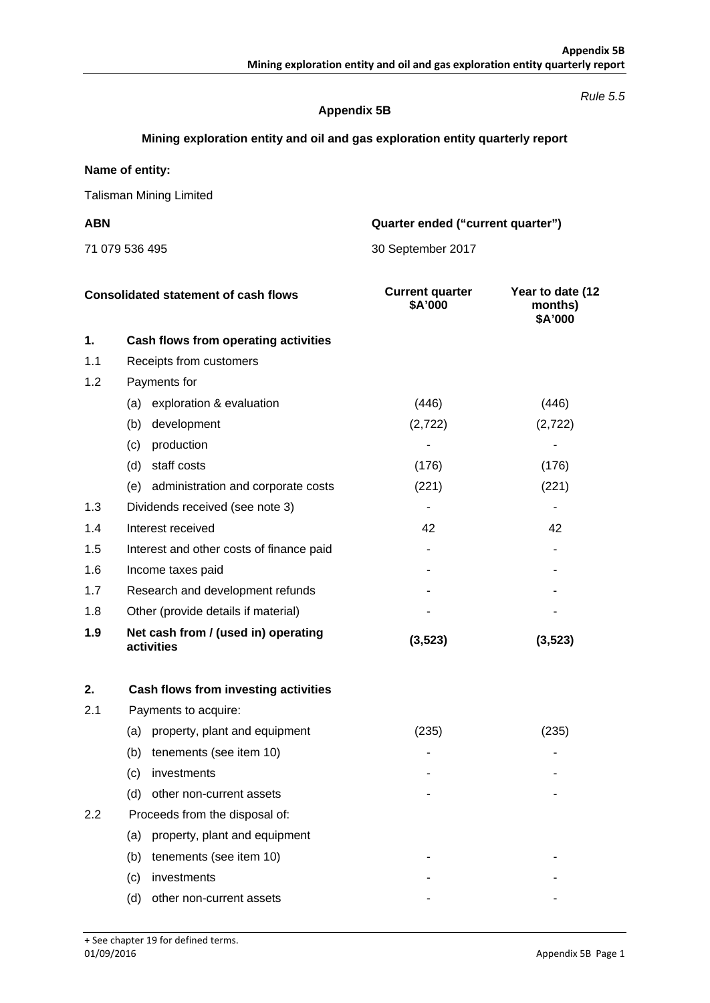#### *Rule 5.5*

## **Appendix 5B**

# **Mining exploration entity and oil and gas exploration entity quarterly report**

## **Name of entity:**

Talisman Mining Limited

**ABN Quarter ended ("current quarter")**

71 079 536 495 30 September 2017

| <b>Consolidated statement of cash flows</b> |                                                   | <b>Current quarter</b><br>\$A'000 | Year to date (12<br>months)<br>\$A'000 |
|---------------------------------------------|---------------------------------------------------|-----------------------------------|----------------------------------------|
| 1.                                          | Cash flows from operating activities              |                                   |                                        |
| 1.1                                         | Receipts from customers                           |                                   |                                        |
| 1.2                                         | Payments for                                      |                                   |                                        |
|                                             | exploration & evaluation<br>(a)                   | (446)                             | (446)                                  |
|                                             | development<br>(b)                                | (2,722)                           | (2,722)                                |
|                                             | (c)<br>production                                 |                                   |                                        |
|                                             | staff costs<br>(d)                                | (176)                             | (176)                                  |
|                                             | administration and corporate costs<br>(e)         | (221)                             | (221)                                  |
| 1.3                                         | Dividends received (see note 3)                   |                                   |                                        |
| 1.4                                         | Interest received                                 | 42                                | 42                                     |
| 1.5                                         | Interest and other costs of finance paid          |                                   |                                        |
| 1.6                                         | Income taxes paid                                 |                                   |                                        |
| 1.7                                         | Research and development refunds                  |                                   |                                        |
| 1.8                                         | Other (provide details if material)               |                                   |                                        |
| 1.9                                         | Net cash from / (used in) operating<br>activities | (3,523)                           | (3, 523)                               |

| 2.  | Cash flows from investing activities |       |       |
|-----|--------------------------------------|-------|-------|
| 2.1 | Payments to acquire:                 |       |       |
|     | property, plant and equipment<br>(a) | (235) | (235) |
|     | tenements (see item 10)<br>(b)       |       |       |
|     | investments<br>(c)                   |       |       |
|     | other non-current assets<br>(d)      |       |       |
| 2.2 | Proceeds from the disposal of:       |       |       |
|     | property, plant and equipment<br>(a) |       |       |
|     | tenements (see item 10)<br>(b)       |       |       |
|     | investments<br>(c)                   |       |       |
|     | other non-current assets<br>(d)      |       |       |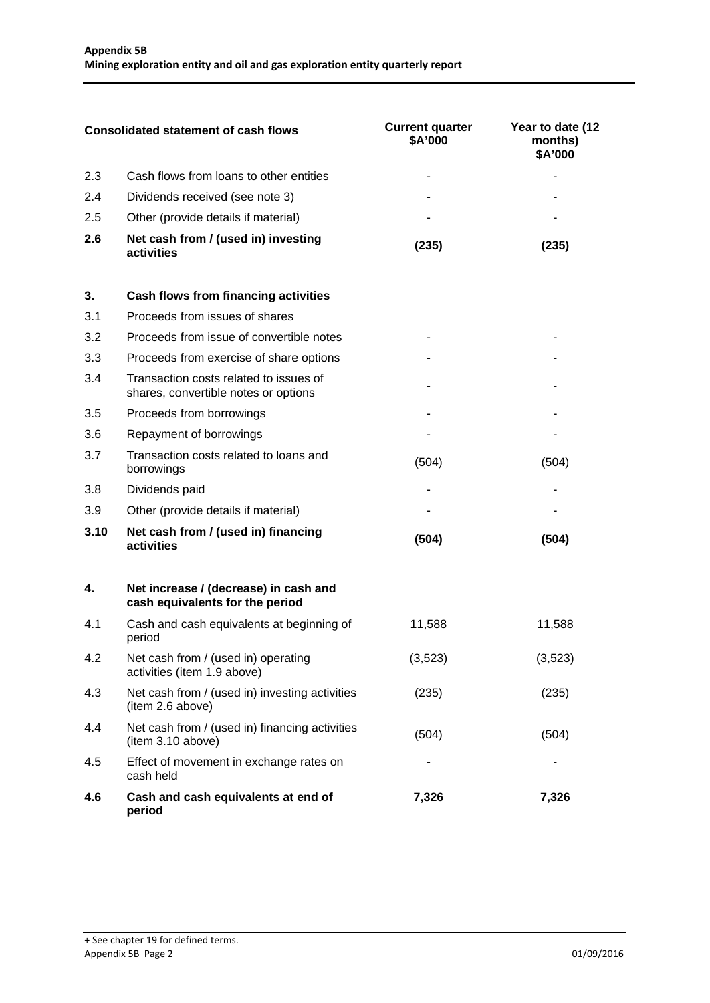| Consolidated statement of cash flows |                                                   | <b>Current quarter</b><br>\$A'000 | Year to date (12<br>months)<br>\$A'000 |
|--------------------------------------|---------------------------------------------------|-----------------------------------|----------------------------------------|
| 23                                   | Cash flows from loans to other entities           |                                   |                                        |
| 2.4                                  | Dividends received (see note 3)                   |                                   |                                        |
| 2.5                                  | Other (provide details if material)               |                                   |                                        |
| 2.6                                  | Net cash from / (used in) investing<br>activities | 2351                              | 235                                    |

| 3.   | <b>Cash flows from financing activities</b>                                    |       |       |
|------|--------------------------------------------------------------------------------|-------|-------|
| 3.1  | Proceeds from issues of shares                                                 |       |       |
| 3.2  | Proceeds from issue of convertible notes                                       |       |       |
| 3.3  | Proceeds from exercise of share options                                        |       |       |
| 3.4  | Transaction costs related to issues of<br>shares, convertible notes or options |       |       |
| 3.5  | Proceeds from borrowings                                                       |       |       |
| 3.6  | Repayment of borrowings                                                        |       |       |
| 3.7  | Transaction costs related to loans and<br>borrowings                           | (504) | (504) |
| 3.8  | Dividends paid                                                                 |       |       |
| 3.9  | Other (provide details if material)                                            |       |       |
| 3.10 | Net cash from / (used in) financing<br>activities                              | (504) | (504) |

| 4.  | Net increase / (decrease) in cash and<br>cash equivalents for the period |         |         |
|-----|--------------------------------------------------------------------------|---------|---------|
| 4.1 | Cash and cash equivalents at beginning of<br>period                      | 11.588  | 11,588  |
| 4.2 | Net cash from / (used in) operating<br>activities (item 1.9 above)       | (3,523) | (3,523) |
| 4.3 | Net cash from / (used in) investing activities<br>(item 2.6 above)       | (235)   | (235)   |
| 4.4 | Net cash from / (used in) financing activities<br>item 3.10 above)       | (504)   | (504)   |
| 4.5 | Effect of movement in exchange rates on<br>cash held                     |         |         |
| 4.6 | Cash and cash equivalents at end of<br>period                            | 7,326   | 7,326   |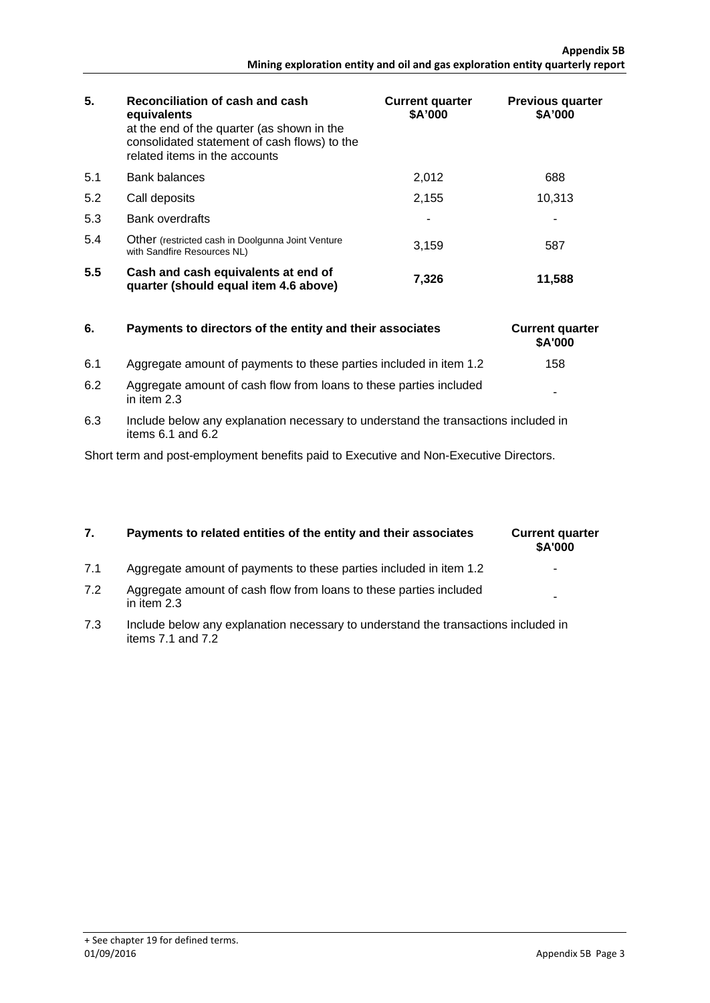| Reconciliation of cash and cash<br>5.<br>equivalents<br>at the end of the quarter (as shown in the<br>consolidated statement of cash flows) to the<br>related items in the accounts |                                                                                  | <b>Current quarter</b><br>\$A'000 | <b>Previous quarter</b><br>\$A'000 |
|-------------------------------------------------------------------------------------------------------------------------------------------------------------------------------------|----------------------------------------------------------------------------------|-----------------------------------|------------------------------------|
| 5.1                                                                                                                                                                                 | <b>Bank balances</b>                                                             | 2.012                             | 688                                |
| 5.2                                                                                                                                                                                 | Call deposits                                                                    | 2.155                             | 10,313                             |
| 5.3                                                                                                                                                                                 | Bank overdrafts                                                                  |                                   |                                    |
| 5.4                                                                                                                                                                                 | Other (restricted cash in Doolgunna Joint Venture<br>with Sandfire Resources NL) | 3,159                             | 587                                |
| 5.5                                                                                                                                                                                 | Cash and cash equivalents at end of<br>quarter (should equal item 4.6 above)     | 7.326                             | 11,588                             |

| 6. | Payments to directors of the entity and their associates |
|----|----------------------------------------------------------|
|    |                                                          |

- 6.1 Aggregate amount of payments to these parties included in item 1.2 158
- 6.2 Aggregate amount of cash flow from loans to these parties included  $\vert$  .
- 6.3 Include below any explanation necessary to understand the transactions included in items 6.1 and 6.2

Short term and post-employment benefits paid to Executive and Non-Executive Directors.

# **7.** Payments to related entities of the entity and their associates

- 7.1 Aggregate amount of payments to these parties included in item 1.2
- 7.2 Aggregate amount of cash flow from loans to these parties included  $\vert$  .
- 7.3 Include below any explanation necessary to understand the transactions included in items 7.1 and 7.2

| <b>Current quarter</b><br>\$A'000 |  |
|-----------------------------------|--|
|                                   |  |
|                                   |  |

**6.** Current quarter **\$A'000**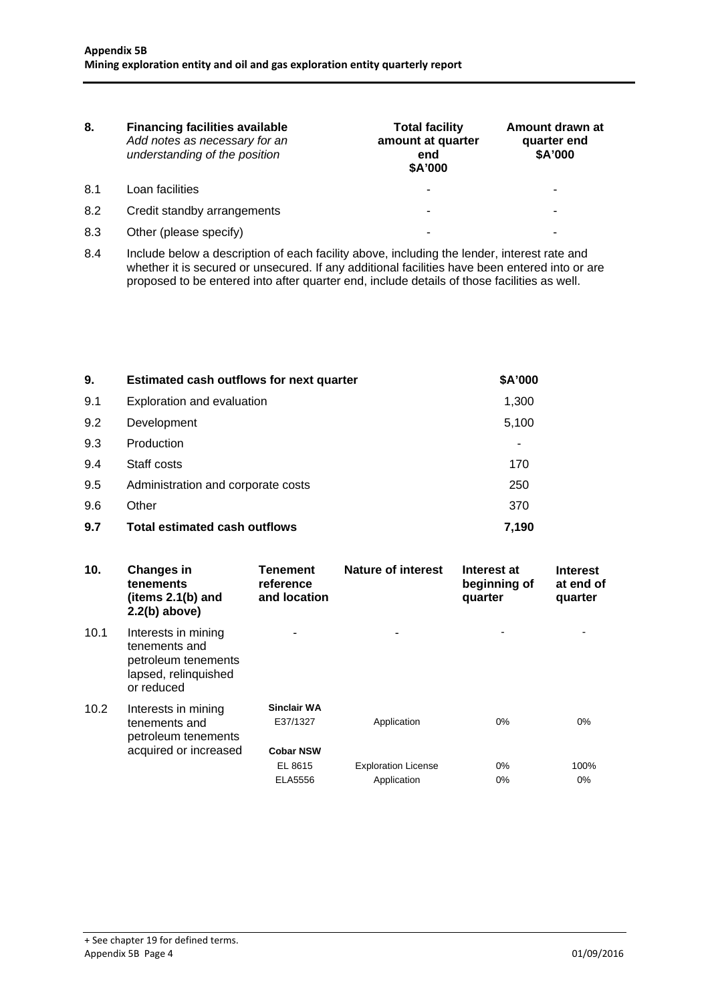| <b>Financing facilities available</b><br>8.<br>Add notes as necessary for an<br>understanding of the position |                             | <b>Total facility</b><br>amount at quarter<br>end<br>\$A'000 | Amount drawn at<br>quarter end<br>\$A'000 |  |
|---------------------------------------------------------------------------------------------------------------|-----------------------------|--------------------------------------------------------------|-------------------------------------------|--|
| 8.1                                                                                                           | Loan facilities             |                                                              |                                           |  |
| 8.2                                                                                                           | Credit standby arrangements |                                                              |                                           |  |
| 8.3                                                                                                           | Other (please specify)      |                                                              |                                           |  |

8.4 Include below a description of each facility above, including the lender, interest rate and whether it is secured or unsecured. If any additional facilities have been entered into or are proposed to be entered into after quarter end, include details of those facilities as well.

| 9.  | Estimated cash outflows for next quarter | \$A'000 |
|-----|------------------------------------------|---------|
| 9.1 | Exploration and evaluation               | 1,300   |
| 9.2 | Development                              | 5,100   |
| 9.3 | Production                               |         |
| 9.4 | Staff costs                              | 170     |
| 9.5 | Administration and corporate costs       | 250     |
| 9.6 | Other                                    | 370     |
| 9.7 | Total estimated cash outflows            | 7.190   |

| 10.               | <b>Changes in</b><br>tenements<br>(items $2.1(b)$ and<br>$2.2(b)$ above)                          | <b>Tenement</b><br>reference<br>and location       | Nature of interest                        | Interest at<br>beginning of<br>quarter | <b>Interest</b><br>at end of<br>quarter |
|-------------------|---------------------------------------------------------------------------------------------------|----------------------------------------------------|-------------------------------------------|----------------------------------------|-----------------------------------------|
| 10.1              | Interests in mining<br>tenements and<br>petroleum tenements<br>lapsed, relinquished<br>or reduced |                                                    |                                           |                                        |                                         |
| 10.2 <sub>1</sub> | Interests in mining<br>tenements and<br>petroleum tenements<br>acquired or increased              | <b>Sinclair WA</b><br>E37/1327<br><b>Cobar NSW</b> | Application                               | 0%                                     | $0\%$                                   |
|                   |                                                                                                   | EL 8615<br>ELA5556                                 | <b>Exploration License</b><br>Application | 0%<br>$0\%$                            | 100%<br>$0\%$                           |